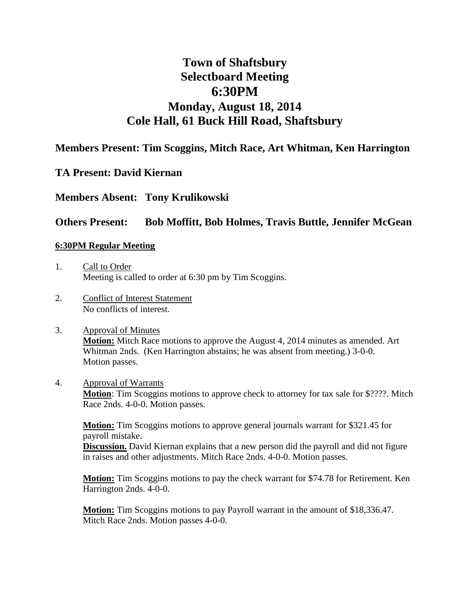# **Town of Shaftsbury Selectboard Meeting 6:30PM Monday, August 18, 2014 Cole Hall, 61 Buck Hill Road, Shaftsbury**

# **Members Present: Tim Scoggins, Mitch Race, Art Whitman, Ken Harrington**

# **TA Present: David Kiernan**

# **Members Absent: Tony Krulikowski**

# **Others Present: Bob Moffitt, Bob Holmes, Travis Buttle, Jennifer McGean**

# **6:30PM Regular Meeting**

- 1. Call to Order Meeting is called to order at 6:30 pm by Tim Scoggins.
- 2. Conflict of Interest Statement No conflicts of interest.
- 3. Approval of Minutes **Motion:** Mitch Race motions to approve the August 4, 2014 minutes as amended. Art Whitman 2nds. (Ken Harrington abstains; he was absent from meeting.) 3-0-0. Motion passes.
- 4. Approval of Warrants **Motion**: Tim Scoggins motions to approve check to attorney for tax sale for \$????. Mitch Race 2nds. 4-0-0. Motion passes.

**Motion:** Tim Scoggins motions to approve general journals warrant for \$321.45 for payroll mistake.

**Discussion.** David Kiernan explains that a new person did the payroll and did not figure in raises and other adjustments. Mitch Race 2nds. 4-0-0. Motion passes.

**Motion:** Tim Scoggins motions to pay the check warrant for \$74.78 for Retirement. Ken Harrington 2nds. 4-0-0.

**Motion:** Tim Scoggins motions to pay Payroll warrant in the amount of \$18,336.47. Mitch Race 2nds. Motion passes 4-0-0.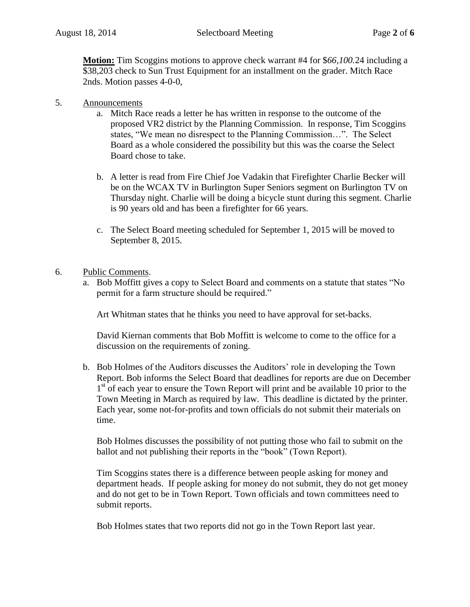**Motion:** Tim Scoggins motions to approve check warrant #4 for \$*66,100.*24 including a \$38,203 check to Sun Trust Equipment for an installment on the grader. Mitch Race 2nds. Motion passes 4-0-0,

- 5. Announcements
	- a. Mitch Race reads a letter he has written in response to the outcome of the proposed VR2 district by the Planning Commission. In response, Tim Scoggins states, "We mean no disrespect to the Planning Commission…". The Select Board as a whole considered the possibility but this was the coarse the Select Board chose to take.
	- b. A letter is read from Fire Chief Joe Vadakin that Firefighter Charlie Becker will be on the WCAX TV in Burlington Super Seniors segment on Burlington TV on Thursday night. Charlie will be doing a bicycle stunt during this segment. Charlie is 90 years old and has been a firefighter for 66 years.
	- c. The Select Board meeting scheduled for September 1, 2015 will be moved to September 8, 2015.
- 6. Public Comments.
	- a. Bob Moffitt gives a copy to Select Board and comments on a statute that states "No permit for a farm structure should be required."

Art Whitman states that he thinks you need to have approval for set-backs.

David Kiernan comments that Bob Moffitt is welcome to come to the office for a discussion on the requirements of zoning.

b. Bob Holmes of the Auditors discusses the Auditors' role in developing the Town Report. Bob informs the Select Board that deadlines for reports are due on December 1<sup>st</sup> of each year to ensure the Town Report will print and be available 10 prior to the Town Meeting in March as required by law. This deadline is dictated by the printer. Each year, some not-for-profits and town officials do not submit their materials on time.

Bob Holmes discusses the possibility of not putting those who fail to submit on the ballot and not publishing their reports in the "book" (Town Report).

Tim Scoggins states there is a difference between people asking for money and department heads. If people asking for money do not submit, they do not get money and do not get to be in Town Report. Town officials and town committees need to submit reports.

Bob Holmes states that two reports did not go in the Town Report last year.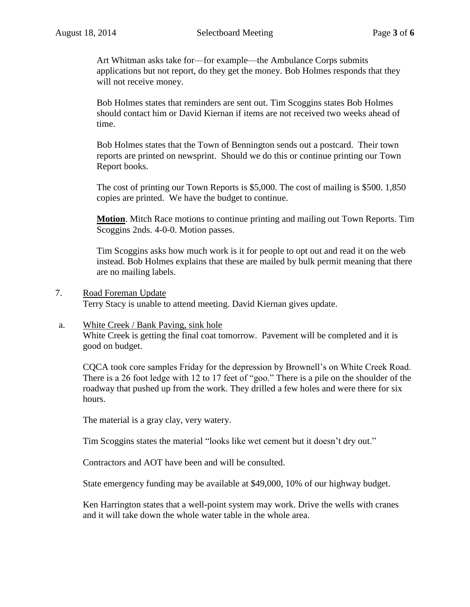Art Whitman asks take for—for example—the Ambulance Corps submits applications but not report, do they get the money. Bob Holmes responds that they will not receive money.

Bob Holmes states that reminders are sent out. Tim Scoggins states Bob Holmes should contact him or David Kiernan if items are not received two weeks ahead of time.

Bob Holmes states that the Town of Bennington sends out a postcard. Their town reports are printed on newsprint. Should we do this or continue printing our Town Report books.

The cost of printing our Town Reports is \$5,000. The cost of mailing is \$500. 1,850 copies are printed. We have the budget to continue.

**Motion**. Mitch Race motions to continue printing and mailing out Town Reports. Tim Scoggins 2nds. 4-0-0. Motion passes.

Tim Scoggins asks how much work is it for people to opt out and read it on the web instead. Bob Holmes explains that these are mailed by bulk permit meaning that there are no mailing labels.

7. Road Foreman Update

Terry Stacy is unable to attend meeting. David Kiernan gives update.

## a. White Creek / Bank Paving, sink hole

White Creek is getting the final coat tomorrow. Pavement will be completed and it is good on budget.

CQCA took core samples Friday for the depression by Brownell's on White Creek Road. There is a 26 foot ledge with 12 to 17 feet of "goo." There is a pile on the shoulder of the roadway that pushed up from the work. They drilled a few holes and were there for six hours.

The material is a gray clay, very watery.

Tim Scoggins states the material "looks like wet cement but it doesn't dry out."

Contractors and AOT have been and will be consulted.

State emergency funding may be available at \$49,000, 10% of our highway budget.

Ken Harrington states that a well-point system may work. Drive the wells with cranes and it will take down the whole water table in the whole area.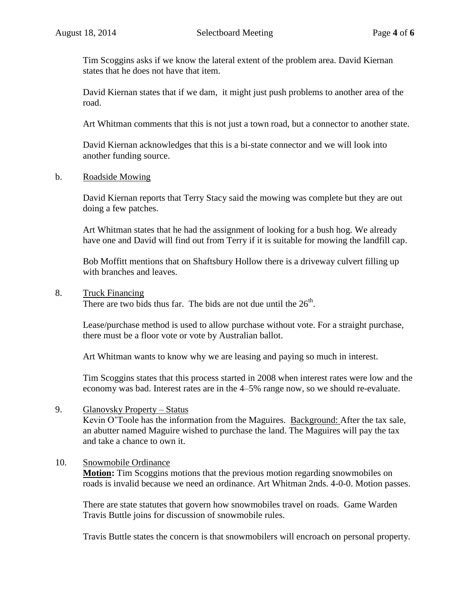Tim Scoggins asks if we know the lateral extent of the problem area. David Kiernan states that he does not have that item.

David Kiernan states that if we dam, it might just push problems to another area of the road.

Art Whitman comments that this is not just a town road, but a connector to another state.

David Kiernan acknowledges that this is a bi-state connector and we will look into another funding source.

#### b. Roadside Mowing

David Kiernan reports that Terry Stacy said the mowing was complete but they are out doing a few patches.

Art Whitman states that he had the assignment of looking for a bush hog. We already have one and David will find out from Terry if it is suitable for mowing the landfill cap.

Bob Moffitt mentions that on Shaftsbury Hollow there is a driveway culvert filling up with branches and leaves.

#### 8. Truck Financing

There are two bids thus far. The bids are not due until the  $26<sup>th</sup>$ .

Lease/purchase method is used to allow purchase without vote. For a straight purchase, there must be a floor vote or vote by Australian ballot.

Art Whitman wants to know why we are leasing and paying so much in interest.

Tim Scoggins states that this process started in 2008 when interest rates were low and the economy was bad. Interest rates are in the 4–5% range now, so we should re-evaluate.

#### 9. Glanovsky Property – Status

Kevin O'Toole has the information from the Maguires. Background: After the tax sale, an abutter named Maguire wished to purchase the land. The Maguires will pay the tax and take a chance to own it.

## 10. Snowmobile Ordinance

**Motion:** Tim Scoggins motions that the previous motion regarding snowmobiles on roads is invalid because we need an ordinance. Art Whitman 2nds. 4-0-0. Motion passes.

There are state statutes that govern how snowmobiles travel on roads. Game Warden Travis Buttle joins for discussion of snowmobile rules.

Travis Buttle states the concern is that snowmobilers will encroach on personal property.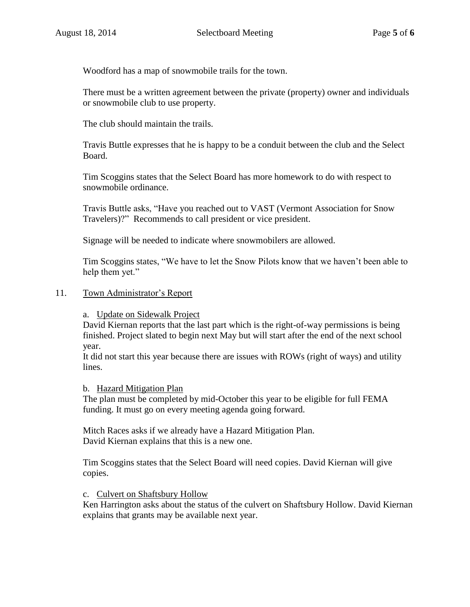Woodford has a map of snowmobile trails for the town.

There must be a written agreement between the private (property) owner and individuals or snowmobile club to use property.

The club should maintain the trails.

Travis Buttle expresses that he is happy to be a conduit between the club and the Select Board.

Tim Scoggins states that the Select Board has more homework to do with respect to snowmobile ordinance.

Travis Buttle asks, "Have you reached out to VAST (Vermont Association for Snow Travelers)?" Recommends to call president or vice president.

Signage will be needed to indicate where snowmobilers are allowed.

Tim Scoggins states, "We have to let the Snow Pilots know that we haven't been able to help them yet."

## 11. Town Administrator's Report

a. Update on Sidewalk Project

David Kiernan reports that the last part which is the right-of-way permissions is being finished. Project slated to begin next May but will start after the end of the next school year.

It did not start this year because there are issues with ROWs (right of ways) and utility lines.

#### b. Hazard Mitigation Plan

The plan must be completed by mid-October this year to be eligible for full FEMA funding. It must go on every meeting agenda going forward.

Mitch Races asks if we already have a Hazard Mitigation Plan. David Kiernan explains that this is a new one.

Tim Scoggins states that the Select Board will need copies. David Kiernan will give copies.

## c. Culvert on Shaftsbury Hollow

Ken Harrington asks about the status of the culvert on Shaftsbury Hollow. David Kiernan explains that grants may be available next year.